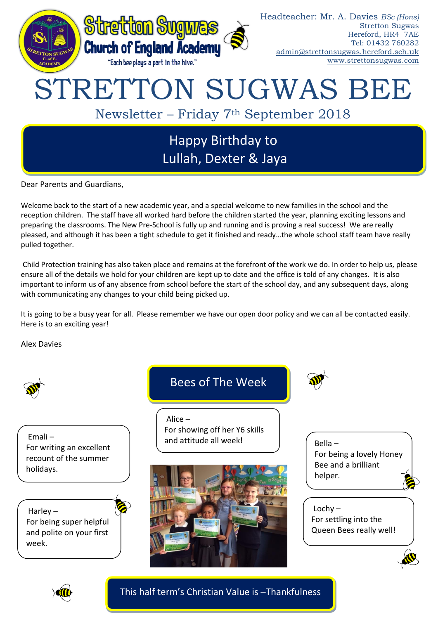

Dear Parents and Guardians,

Welcome back to the start of a new academic year, and a special welcome to new families in the school and the reception children. The staff have all worked hard before the children started the year, planning exciting lessons and preparing the classrooms. The New Pre-School is fully up and running and is proving a real success! We are really pleased, and although it has been a tight schedule to get it finished and ready…the whole school staff team have really pulled together.

Child Protection training has also taken place and remains at the forefront of the work we do. In order to help us, please ensure all of the details we hold for your children are kept up to date and the office is told of any changes. It is also important to inform us of any absence from school before the start of the school day, and any subsequent days, along with communicating any changes to your child being picked up.

It is going to be a busy year for all. Please remember we have our open door policy and we can all be contacted easily. Here is to an exciting year!

Alex Davies



Emali – For writing an excellent recount of the summer holidays.

Harley – For being super helpful and polite on your first week.

# Bees of The Week

Alice – For showing off her Y6 skills and attitude all week!



Bella – For being a lovely Honey Bee and a brilliant helper.

 $Lochy -$ For settling into the Queen Bees really well!





This half term's Christian Value is –Thankfulness